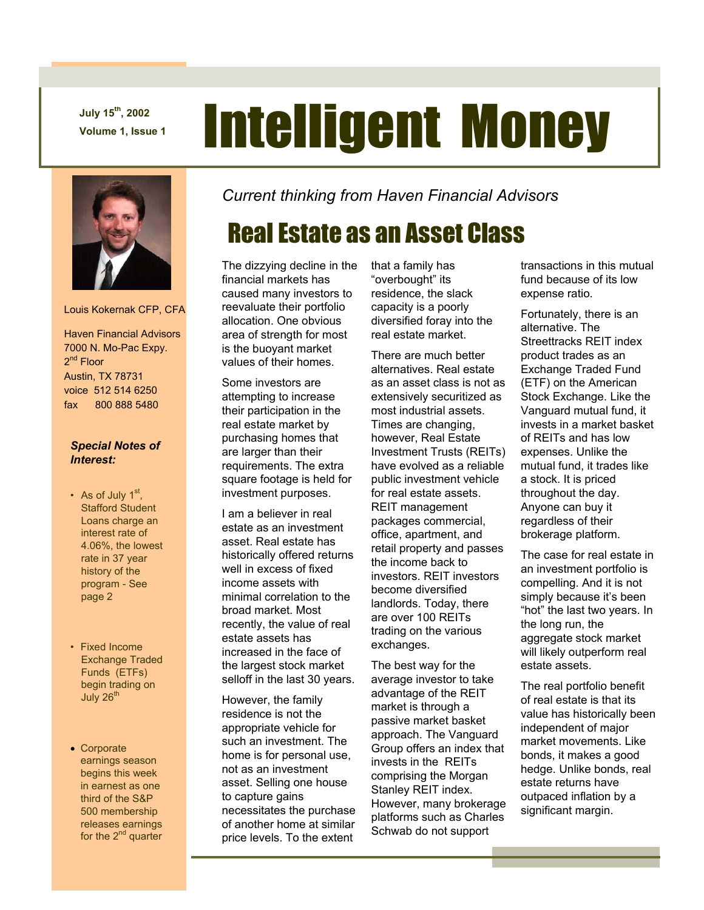**July 15th, 2002** 

# July 15<sup>th</sup>, 2002<br>Volume 1, Issue 1 **Intelligent Money**



Louis Kokernak CFP, CFA

 Haven Financial Advisors 7000 N. Mo-Pac Expy. 2<sup>nd</sup> Floor Austin, TX 78731 voice 512 514 6250 fax 800 888 5480

#### *Special Notes of Interest:*

- As of July  $1<sup>st</sup>$ , Stafford Student Loans charge an interest rate of 4.06%, the lowest rate in 37 year history of the program - See page 2
- Fixed Income Exchange Traded Funds (ETFs) begin trading on July  $26<sup>tn</sup>$
- Corporate earnings season begins this week in earnest as one third of the S&P 500 membership releases earnings for the  $2^{nd}$  quarter

*Current thinking from Haven Financial Advisors* 

# Real Estate as an Asset Class

The dizzying decline in the financial markets has caused many investors to reevaluate their portfolio allocation. One obvious area of strength for most is the buoyant market values of their homes.

Some investors are attempting to increase their participation in the real estate market by purchasing homes that are larger than their requirements. The extra square footage is held for investment purposes.

I am a believer in real estate as an investment asset. Real estate has historically offered returns well in excess of fixed income assets with minimal correlation to the broad market. Most recently, the value of real estate assets has increased in the face of the largest stock market selloff in the last 30 years.

However, the family residence is not the appropriate vehicle for such an investment. The home is for personal use, not as an investment asset. Selling one house to capture gains necessitates the purchase of another home at similar price levels. To the extent

that a family has "overbought" its residence, the slack capacity is a poorly diversified foray into the real estate market.

There are much better alternatives. Real estate as an asset class is not as extensively securitized as most industrial assets. Times are changing, however, Real Estate Investment Trusts (REITs) have evolved as a reliable public investment vehicle for real estate assets. REIT management packages commercial, office, apartment, and retail property and passes the income back to investors. REIT investors become diversified landlords. Today, there are over 100 REITs trading on the various exchanges.

The best way for the average investor to take advantage of the REIT market is through a passive market basket approach. The Vanguard Group offers an index that invests in the REITs comprising the Morgan Stanley REIT index. However, many brokerage platforms such as Charles Schwab do not support

transactions in this mutual fund because of its low expense ratio.

Fortunately, there is an alternative. The Streettracks REIT index product trades as an Exchange Traded Fund (ETF) on the American Stock Exchange. Like the Vanguard mutual fund, it invests in a market basket of REITs and has low expenses. Unlike the mutual fund, it trades like a stock. It is priced throughout the day. Anyone can buy it regardless of their brokerage platform.

The case for real estate in an investment portfolio is compelling. And it is not simply because it's been "hot" the last two years. In the long run, the aggregate stock market will likely outperform real estate assets.

The real portfolio benefit of real estate is that its value has historically been independent of major market movements. Like bonds, it makes a good hedge. Unlike bonds, real estate returns have outpaced inflation by a significant margin.